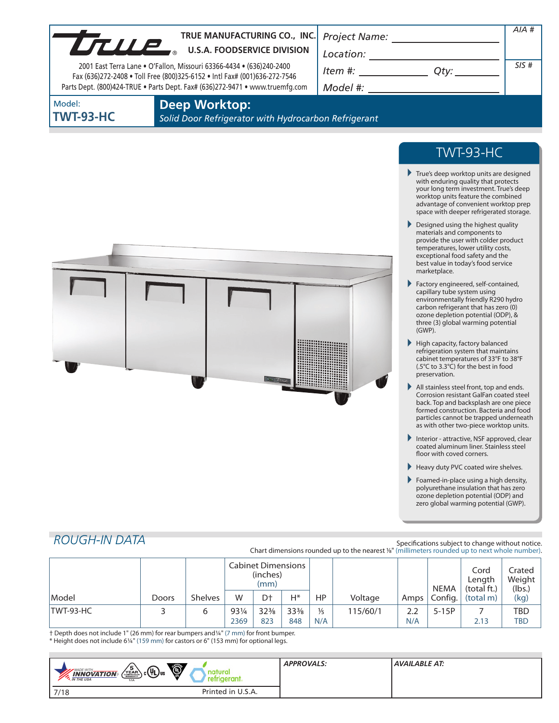| UTULE                      | TRUE MANUFACTURING CO., INC.<br><b>U.S.A. FOODSERVICE DIVISION</b><br>2001 East Terra Lane • O'Fallon, Missouri 63366-4434 • (636)240-2400<br>Fax (636)272-2408 . Toll Free (800)325-6152 . Intl Fax# (001)636-272-7546<br>Parts Dept. (800)424-TRUE . Parts Dept. Fax# (636)272-9471 . www.truemfg.com | Project Name:<br>Location:<br>Item #:<br>Qty:<br>Model #: | AIA #<br>SIS# |
|----------------------------|---------------------------------------------------------------------------------------------------------------------------------------------------------------------------------------------------------------------------------------------------------------------------------------------------------|-----------------------------------------------------------|---------------|
| Model:<br><b>TWT-93-HC</b> | <b>Deep Worktop:</b><br>Solid Door Refrigerator with Hydrocarbon Refrigerant                                                                                                                                                                                                                            |                                                           |               |



# TWT-93-HC

- True's deep worktop units are designed with enduring quality that protects your long term investment. True's deep worktop units feature the combined advantage of convenient worktop prep space with deeper refrigerated storage.
- Designed using the highest quality materials and components to provide the user with colder product temperatures, lower utility costs, exceptional food safety and the best value in today's food service marketplace.
- Factory engineered, self-contained, capillary tube system using environmentally friendly R290 hydro carbon refrigerant that has zero (0) ozone depletion potential (ODP), & three (3) global warming potential (GWP).
- $\blacktriangleright$  High capacity, factory balanced refrigeration system that maintains cabinet temperatures of 33°F to 38°F (.5°C to 3.3°C) for the best in food preservation.
- All stainless steel front, top and ends. Corrosion resistant GalFan coated steel back. Top and backsplash are one piece formed construction. Bacteria and food particles cannot be trapped underneath as with other two-piece worktop units.
- Interior attractive, NSF approved, clear coated aluminum liner. Stainless steel floor with coved corners.
- Heavy duty PVC coated wire shelves.
- Foamed-in-place using a high density, polyurethane insulation that has zero ozone depletion potential (ODP) and zero global warming potential (GWP).

# *ROUGH-IN DATA*

Specifications subject to change without notice. Chart dimensions rounded up to the nearest %" (millimeters rounded up to next whole number).

|           |       |                | <b>Cabinet Dimensions</b><br>(inches)<br>(mm) |                 |                 |               |          | <b>NEMA</b> | Cord<br>Length<br>(total ft.) | Crated<br>Weight<br>(lbs.) |            |
|-----------|-------|----------------|-----------------------------------------------|-----------------|-----------------|---------------|----------|-------------|-------------------------------|----------------------------|------------|
| Model     | Doors | <b>Shelves</b> | W                                             | D <sup>+</sup>  | H*              | HP            | Voltage  | Amps        | Config.                       | (total m)                  | (kg)       |
| TWT-93-HC |       | 6              | 931/4                                         | $32\frac{3}{8}$ | $33\frac{3}{8}$ | $\frac{1}{5}$ | 115/60/1 |             | $5-15P$                       |                            | <b>TBD</b> |
|           |       |                | 2369                                          | 823             | 848             | N/A           |          | N/A         |                               | 2.13                       | <b>TBD</b> |

† Depth does not include 1" (26 mm) for rear bumpers and1/4" (7 mm) for front bumper. \* Height does not include 61/4" (159 mm) for castors or 6" (153 mm) for optional legs.

| Ö<br>$\mathcal{L}_{\rm c}(\Psi)_{\rm us}$<br>ູ<br><b>MADE WITH</b><br>$\left(\begin{smallmatrix} \mathsf{YEAR} \\ \mathsf{COMPRES} \end{smallmatrix}\right)$<br><b>INNOVATION</b><br><b>N</b> THE USA<br><b>USA</b> | <b>APPROVALS:</b> | AVAILABLE AT: |
|---------------------------------------------------------------------------------------------------------------------------------------------------------------------------------------------------------------------|-------------------|---------------|
| Printed in U.S.A.<br>7/18                                                                                                                                                                                           |                   |               |